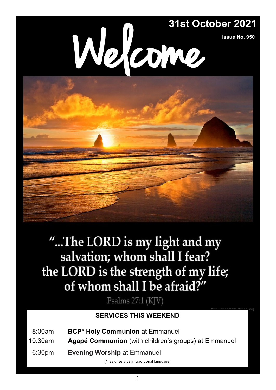

**Issue No. 950**



Psalms 27:1 (KJV)

### **SERVICES THIS WEEKEND**

- 08:00am **BCP\* Holy Communion** at Emmanuel
- 10:30am **Agapé Communion** (with children's groups) at Emmanuel
- 06:30pm **Evening Worship** at Emmanuel

(\* 'Said' service in traditional language)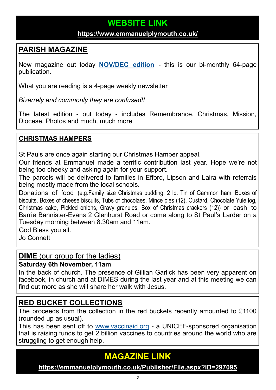# **WEBSITE LINK**

#### **<https://www.emmanuelplymouth.co.uk/>**

## **PARISH MAGAZINE**

New magazine out today **[NOV/DEC edition](https://emmanuelplymouth.co.uk/Publisher/File.aspx?ID=297095)** - this is our bi-monthly 64-page publication.

What you are reading is a 4-page weekly newsletter

*Bizarrely and commonly they are confused!!* 

The latest edition - out today - includes Remembrance, Christmas, Mission, Diocese, Photos and much, much more

#### **CHRISTMAS HAMPERS**

St Pauls are once again starting our Christmas Hamper appeal.

Our friends at Emmanuel made a terrific contribution last year. Hope we're not being too cheeky and asking again for your support.

The parcels will be delivered to families in Efford, Lipson and Laira with referrals being mostly made from the local schools.

Donations of food (e.g.Family size Christmas pudding, 2 lb. Tin of Gammon ham, Boxes of biscuits, Boxes of cheese biscuits, Tubs of chocolaes, Mince pies (12), Custard, Chocolate Yule log, Christmas cake, Pickled onions, Gravy granules, Box of Christmas crackers (12)) or cash to Barrie Bannister-Evans 2 Glenhurst Road or come along to St Paul's Larder on a Tuesday morning between 8.30am and 11am.

God Bless you all.

Jo Connett

#### **DIME** (our group for the ladies)

#### **Saturday 6th November, 11am**

In the back of church. The presence of Gillian Garlick has been very apparent on facebook, in church and at DIMES during the last year and at this meeting we can find out more as she will share her walk with Jesus.

### **RED BUCKET COLLECTIONS**

The proceeds from the collection in the red buckets recently amounted to £1100 (rounded up as usual).

This has been sent off to [www.vaccinaid.org](https://www.vaccinaid.org) - a UNICEF-sponsored organisation that is raising funds to get  $\overline{2}$  billion vaccines to countries around the world who are struggling to get enough help.

# **MAGAZINE LINK**

**<https://emmanuelplymouth.co.uk/Publisher/File.aspx?ID=297095>**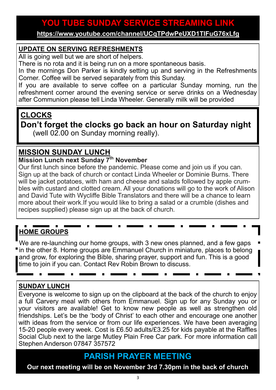# **YOU TUBE SUNDAY SERVICE STREAMING LINK**

**<https://www.youtube.com/channel/UCqTPdwPeUXD1TIFuG76xLfg>**

#### **UPDATE ON SERVING REFRESHMENTS**

All is going well but we are short of helpers.

There is no rota and it is being run on a more spontaneous basis.

In the mornings Don Parker is kindly setting up and serving in the Refreshments Corner. Coffee will be served separately from this Sunday.

If you are available to serve coffee on a particular Sunday morning, run the refreshment corner around the evening service or serve drinks on a Wednesday after Communion please tell Linda Wheeler. Generally milk will be provided

### **CLOCKS**

**Don't forget the clocks go back an hour on Saturday night**  (well 02.00 on Sunday morning really).

### **MISSION SUNDAY LUNCH**

#### **Mission Lunch next Sunday 7th November**

Our first lunch since before the pandemic. Please come and join us if you can. Sign up at the back of church or contact Linda Wheeler or Dominie Burns. There will be jacket potatoes, with ham and cheese and salads followed by apple crumbles with custard and clotted cream. All your donations will go to the work of Alison and David Tute with Wycliffe Bible Translators and there will be a chance to learn more about their work.If you would like to bring a salad or a crumble (dishes and recipes supplied) please sign up at the back of church.

# **HOME GROUPS**

We are re-launching our home groups, with 3 new ones planned, and a few gaps In the other 8. Home groups are Emmanuel Church in miniature, places to belong and grow, for exploring the Bible, sharing prayer, support and fun. This is a good time to join if you can. Contact Rev Robin Brown to discuss.

#### **SUNDAY LUNCH**

Everyone is welcome to sign up on the clipboard at the back of the church to enjoy a full Carvery meal with others from Emmanuel. Sign up for any Sunday you or your visitors are available! Get to know new people as well as strengthen old friendships. Let's be the 'body of Christ' to each other and encourage one another with ideas from the service or from our life experiences. We have been averaging 15-20 people every week. Cost is £6.50 adults/£3.25 for kids payable at the Raffles Social Club next to the large Mutley Plain Free Car park. For more information call Stephen Anderson 07847 357572

## **PARISH PRAYER MEETING**

**Our next meeting will be on November 3rd 7.30pm in the back of church**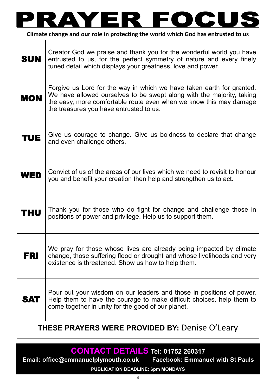| Climate change and our role in protecting the world which God has entrusted to us |                                                                                                                                                                                                                                                                 |
|-----------------------------------------------------------------------------------|-----------------------------------------------------------------------------------------------------------------------------------------------------------------------------------------------------------------------------------------------------------------|
| <b>SUN</b>                                                                        | Creator God we praise and thank you for the wonderful world you have<br>entrusted to us, for the perfect symmetry of nature and every finely<br>tuned detail which displays your greatness, love and power.                                                     |
| <b>MON</b>                                                                        | Forgive us Lord for the way in which we have taken earth for granted.<br>We have allowed ourselves to be swept along with the majority, taking<br>the easy, more comfortable route even when we know this may damage<br>the treasures you have entrusted to us. |
| TUE                                                                               | Give us courage to change. Give us boldness to declare that change<br>and even challenge others.                                                                                                                                                                |
| WED                                                                               | Convict of us of the areas of our lives which we need to revisit to honour<br>you and benefit your creation then help and strengthen us to act.                                                                                                                 |
| HU.                                                                               | Thank you for those who do fight for change and challenge those in<br>positions of power and privilege. Help us to support them.                                                                                                                                |
| FRI                                                                               | We pray for those whose lives are already being impacted by climate<br>change, those suffering flood or drought and whose livelihoods and very<br>existence is threatened. Show us how to help them.                                                            |
| <b>SAT</b>                                                                        | Pour out your wisdom on our leaders and those in positions of power.<br>Help them to have the courage to make difficult choices, help them to<br>come together in unity for the good of our planet.                                                             |
| <b>THESE PRAYERS WERE PROVIDED BY: Denise O'Leary</b>                             |                                                                                                                                                                                                                                                                 |

# **CONTACT DETAILS Tel: 01752 260317**

**Email: office@emmanuelplymouth.co.uk Facebook: Emmanuel with St Pauls PUBLICATION DEADLINE: 6pm MONDAYS**